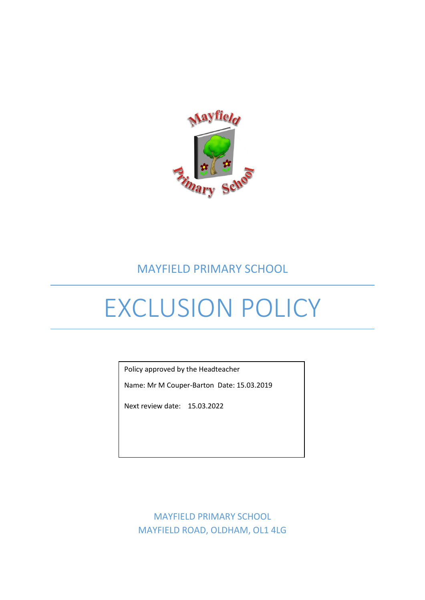

## MAYFIELD PRIMARY SCHOOL

# EXCLUSION POLICY

Policy approved by the Headteacher

Name: Mr M Couper-Barton Date: 15.03.2019

Next review date: 15.03.2022

MAYFIELD PRIMARY SCHOOL MAYFIELD ROAD, OLDHAM, OL1 4LG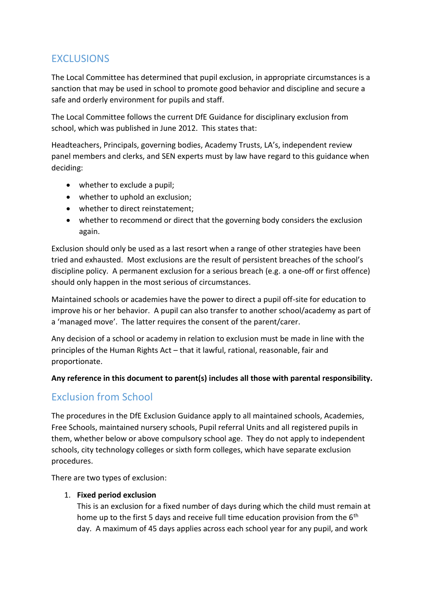#### **EXCLUSIONS**

The Local Committee has determined that pupil exclusion, in appropriate circumstances is a sanction that may be used in school to promote good behavior and discipline and secure a safe and orderly environment for pupils and staff.

The Local Committee follows the current DfE Guidance for disciplinary exclusion from school, which was published in June 2012. This states that:

Headteachers, Principals, governing bodies, Academy Trusts, LA's, independent review panel members and clerks, and SEN experts must by law have regard to this guidance when deciding:

- whether to exclude a pupil;
- whether to uphold an exclusion;
- whether to direct reinstatement;
- whether to recommend or direct that the governing body considers the exclusion again.

Exclusion should only be used as a last resort when a range of other strategies have been tried and exhausted. Most exclusions are the result of persistent breaches of the school's discipline policy. A permanent exclusion for a serious breach (e.g. a one-off or first offence) should only happen in the most serious of circumstances.

Maintained schools or academies have the power to direct a pupil off-site for education to improve his or her behavior. A pupil can also transfer to another school/academy as part of a 'managed move'. The latter requires the consent of the parent/carer.

Any decision of a school or academy in relation to exclusion must be made in line with the principles of the Human Rights Act – that it lawful, rational, reasonable, fair and proportionate.

#### **Any reference in this document to parent(s) includes all those with parental responsibility.**

## Exclusion from School

The procedures in the DfE Exclusion Guidance apply to all maintained schools, Academies, Free Schools, maintained nursery schools, Pupil referral Units and all registered pupils in them, whether below or above compulsory school age. They do not apply to independent schools, city technology colleges or sixth form colleges, which have separate exclusion procedures.

There are two types of exclusion:

#### 1. **Fixed period exclusion**

This is an exclusion for a fixed number of days during which the child must remain at home up to the first 5 days and receive full time education provision from the 6<sup>th</sup> day. A maximum of 45 days applies across each school year for any pupil, and work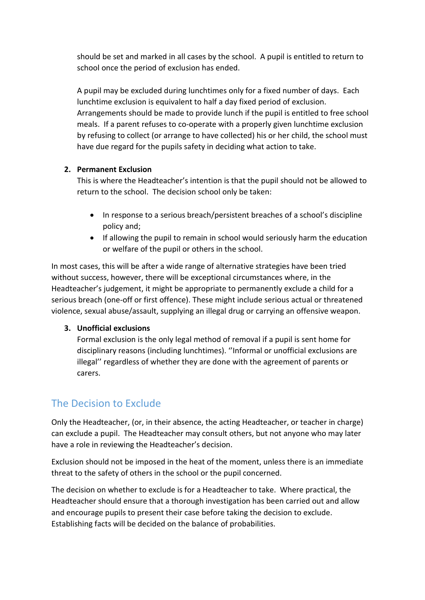should be set and marked in all cases by the school. A pupil is entitled to return to school once the period of exclusion has ended.

A pupil may be excluded during lunchtimes only for a fixed number of days. Each lunchtime exclusion is equivalent to half a day fixed period of exclusion. Arrangements should be made to provide lunch if the pupil is entitled to free school meals. If a parent refuses to co-operate with a properly given lunchtime exclusion by refusing to collect (or arrange to have collected) his or her child, the school must have due regard for the pupils safety in deciding what action to take.

#### **2. Permanent Exclusion**

This is where the Headteacher's intention is that the pupil should not be allowed to return to the school. The decision school only be taken:

- In response to a serious breach/persistent breaches of a school's discipline policy and;
- If allowing the pupil to remain in school would seriously harm the education or welfare of the pupil or others in the school.

In most cases, this will be after a wide range of alternative strategies have been tried without success, however, there will be exceptional circumstances where, in the Headteacher's judgement, it might be appropriate to permanently exclude a child for a serious breach (one-off or first offence). These might include serious actual or threatened violence, sexual abuse/assault, supplying an illegal drug or carrying an offensive weapon.

#### **3. Unofficial exclusions**

Formal exclusion is the only legal method of removal if a pupil is sent home for disciplinary reasons (including lunchtimes). ''Informal or unofficial exclusions are illegal'' regardless of whether they are done with the agreement of parents or carers.

## The Decision to Exclude

Only the Headteacher, (or, in their absence, the acting Headteacher, or teacher in charge) can exclude a pupil. The Headteacher may consult others, but not anyone who may later have a role in reviewing the Headteacher's decision.

Exclusion should not be imposed in the heat of the moment, unless there is an immediate threat to the safety of others in the school or the pupil concerned.

The decision on whether to exclude is for a Headteacher to take. Where practical, the Headteacher should ensure that a thorough investigation has been carried out and allow and encourage pupils to present their case before taking the decision to exclude. Establishing facts will be decided on the balance of probabilities.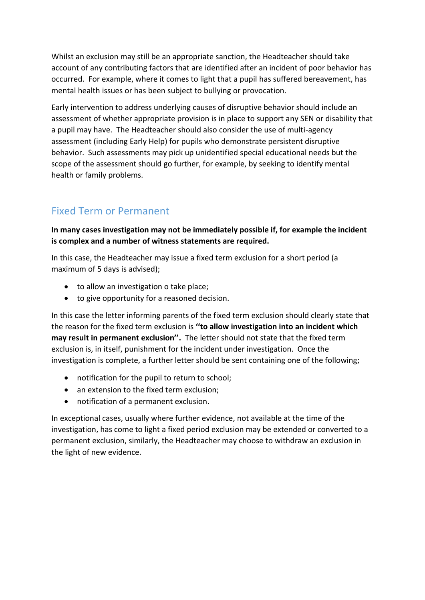Whilst an exclusion may still be an appropriate sanction, the Headteacher should take account of any contributing factors that are identified after an incident of poor behavior has occurred. For example, where it comes to light that a pupil has suffered bereavement, has mental health issues or has been subject to bullying or provocation.

Early intervention to address underlying causes of disruptive behavior should include an assessment of whether appropriate provision is in place to support any SEN or disability that a pupil may have. The Headteacher should also consider the use of multi-agency assessment (including Early Help) for pupils who demonstrate persistent disruptive behavior. Such assessments may pick up unidentified special educational needs but the scope of the assessment should go further, for example, by seeking to identify mental health or family problems.

#### Fixed Term or Permanent

**In many cases investigation may not be immediately possible if, for example the incident is complex and a number of witness statements are required.**

In this case, the Headteacher may issue a fixed term exclusion for a short period (a maximum of 5 days is advised);

- to allow an investigation o take place;
- to give opportunity for a reasoned decision.

In this case the letter informing parents of the fixed term exclusion should clearly state that the reason for the fixed term exclusion is **''to allow investigation into an incident which may result in permanent exclusion''.** The letter should not state that the fixed term exclusion is, in itself, punishment for the incident under investigation. Once the investigation is complete, a further letter should be sent containing one of the following;

- notification for the pupil to return to school;
- an extension to the fixed term exclusion:
- notification of a permanent exclusion.

In exceptional cases, usually where further evidence, not available at the time of the investigation, has come to light a fixed period exclusion may be extended or converted to a permanent exclusion, similarly, the Headteacher may choose to withdraw an exclusion in the light of new evidence.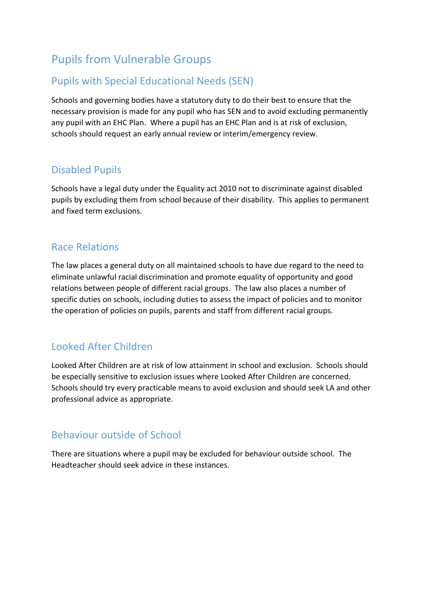# Pupils from Vulnerable Groups

#### Pupils with Special Educational Needs (SEN)

Schools and governing bodies have a statutory duty to do their best to ensure that the necessary provision is made for any pupil who has SEN and to avoid excluding permanently any pupil with an EHC Plan. Where a pupil has an EHC Plan and is at risk of exclusion, schools should request an early annual review or interim/emergency review.

#### Disabled Pupils

Schools have a legal duty under the Equality act 2010 not to discriminate against disabled pupils by excluding them from school because of their disability. This applies to permanent and fixed term exclusions.

#### Race Relations

The law places a general duty on all maintained schools to have due regard to the need to eliminate unlawful racial discrimination and promote equality of opportunity and good relations between people of different racial groups. The law also places a number of specific duties on schools, including duties to assess the impact of policies and to monitor the operation of policies on pupils, parents and staff from different racial groups.

## Looked After Children

Looked After Children are at risk of low attainment in school and exclusion. Schools should be especially sensitive to exclusion issues where Looked After Children are concerned. Schools should try every practicable means to avoid exclusion and should seek LA and other professional advice as appropriate.

#### Behaviour outside of School

There are situations where a pupil may be excluded for behaviour outside school. The Headteacher should seek advice in these instances.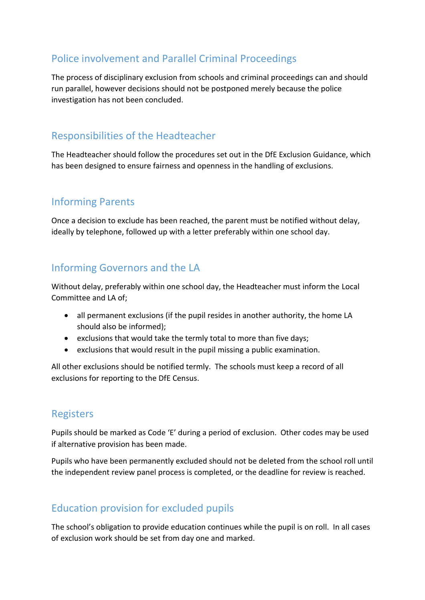#### Police involvement and Parallel Criminal Proceedings

The process of disciplinary exclusion from schools and criminal proceedings can and should run parallel, however decisions should not be postponed merely because the police investigation has not been concluded.

#### Responsibilities of the Headteacher

The Headteacher should follow the procedures set out in the DfE Exclusion Guidance, which has been designed to ensure fairness and openness in the handling of exclusions.

## Informing Parents

Once a decision to exclude has been reached, the parent must be notified without delay, ideally by telephone, followed up with a letter preferably within one school day.

#### Informing Governors and the LA

Without delay, preferably within one school day, the Headteacher must inform the Local Committee and LA of;

- all permanent exclusions (if the pupil resides in another authority, the home LA should also be informed);
- exclusions that would take the termly total to more than five days;
- exclusions that would result in the pupil missing a public examination.

All other exclusions should be notified termly. The schools must keep a record of all exclusions for reporting to the DfE Census.

#### Registers

Pupils should be marked as Code 'E' during a period of exclusion. Other codes may be used if alternative provision has been made.

Pupils who have been permanently excluded should not be deleted from the school roll until the independent review panel process is completed, or the deadline for review is reached.

## Education provision for excluded pupils

The school's obligation to provide education continues while the pupil is on roll. In all cases of exclusion work should be set from day one and marked.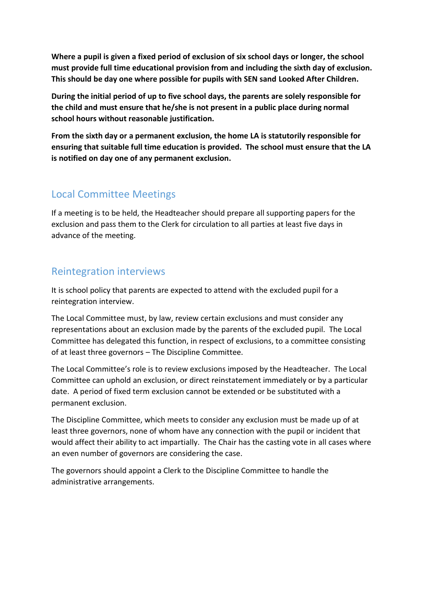**Where a pupil is given a fixed period of exclusion of six school days or longer, the school must provide full time educational provision from and including the sixth day of exclusion. This should be day one where possible for pupils with SEN sand Looked After Children.**

**During the initial period of up to five school days, the parents are solely responsible for the child and must ensure that he/she is not present in a public place during normal school hours without reasonable justification.**

**From the sixth day or a permanent exclusion, the home LA is statutorily responsible for ensuring that suitable full time education is provided. The school must ensure that the LA is notified on day one of any permanent exclusion.**

#### Local Committee Meetings

If a meeting is to be held, the Headteacher should prepare all supporting papers for the exclusion and pass them to the Clerk for circulation to all parties at least five days in advance of the meeting.

#### Reintegration interviews

It is school policy that parents are expected to attend with the excluded pupil for a reintegration interview.

The Local Committee must, by law, review certain exclusions and must consider any representations about an exclusion made by the parents of the excluded pupil. The Local Committee has delegated this function, in respect of exclusions, to a committee consisting of at least three governors – The Discipline Committee.

The Local Committee's role is to review exclusions imposed by the Headteacher. The Local Committee can uphold an exclusion, or direct reinstatement immediately or by a particular date. A period of fixed term exclusion cannot be extended or be substituted with a permanent exclusion.

The Discipline Committee, which meets to consider any exclusion must be made up of at least three governors, none of whom have any connection with the pupil or incident that would affect their ability to act impartially. The Chair has the casting vote in all cases where an even number of governors are considering the case.

The governors should appoint a Clerk to the Discipline Committee to handle the administrative arrangements.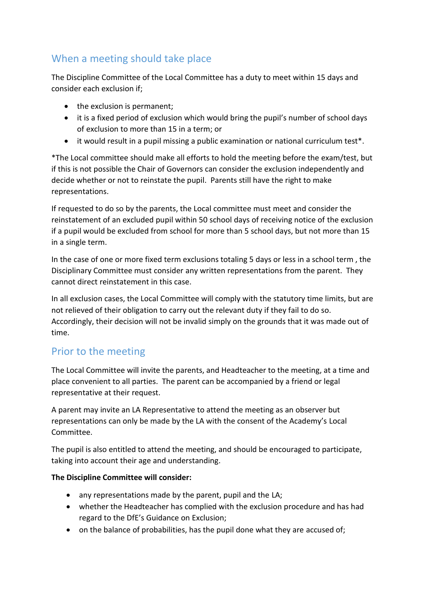#### When a meeting should take place

The Discipline Committee of the Local Committee has a duty to meet within 15 days and consider each exclusion if;

- the exclusion is permanent;
- it is a fixed period of exclusion which would bring the pupil's number of school days of exclusion to more than 15 in a term; or
- it would result in a pupil missing a public examination or national curriculum test\*.

\*The Local committee should make all efforts to hold the meeting before the exam/test, but if this is not possible the Chair of Governors can consider the exclusion independently and decide whether or not to reinstate the pupil. Parents still have the right to make representations.

If requested to do so by the parents, the Local committee must meet and consider the reinstatement of an excluded pupil within 50 school days of receiving notice of the exclusion if a pupil would be excluded from school for more than 5 school days, but not more than 15 in a single term.

In the case of one or more fixed term exclusions totaling 5 days or less in a school term , the Disciplinary Committee must consider any written representations from the parent. They cannot direct reinstatement in this case.

In all exclusion cases, the Local Committee will comply with the statutory time limits, but are not relieved of their obligation to carry out the relevant duty if they fail to do so. Accordingly, their decision will not be invalid simply on the grounds that it was made out of time.

## Prior to the meeting

The Local Committee will invite the parents, and Headteacher to the meeting, at a time and place convenient to all parties. The parent can be accompanied by a friend or legal representative at their request.

A parent may invite an LA Representative to attend the meeting as an observer but representations can only be made by the LA with the consent of the Academy's Local Committee.

The pupil is also entitled to attend the meeting, and should be encouraged to participate, taking into account their age and understanding.

#### **The Discipline Committee will consider:**

- any representations made by the parent, pupil and the LA;
- whether the Headteacher has complied with the exclusion procedure and has had regard to the DfE's Guidance on Exclusion;
- on the balance of probabilities, has the pupil done what they are accused of;